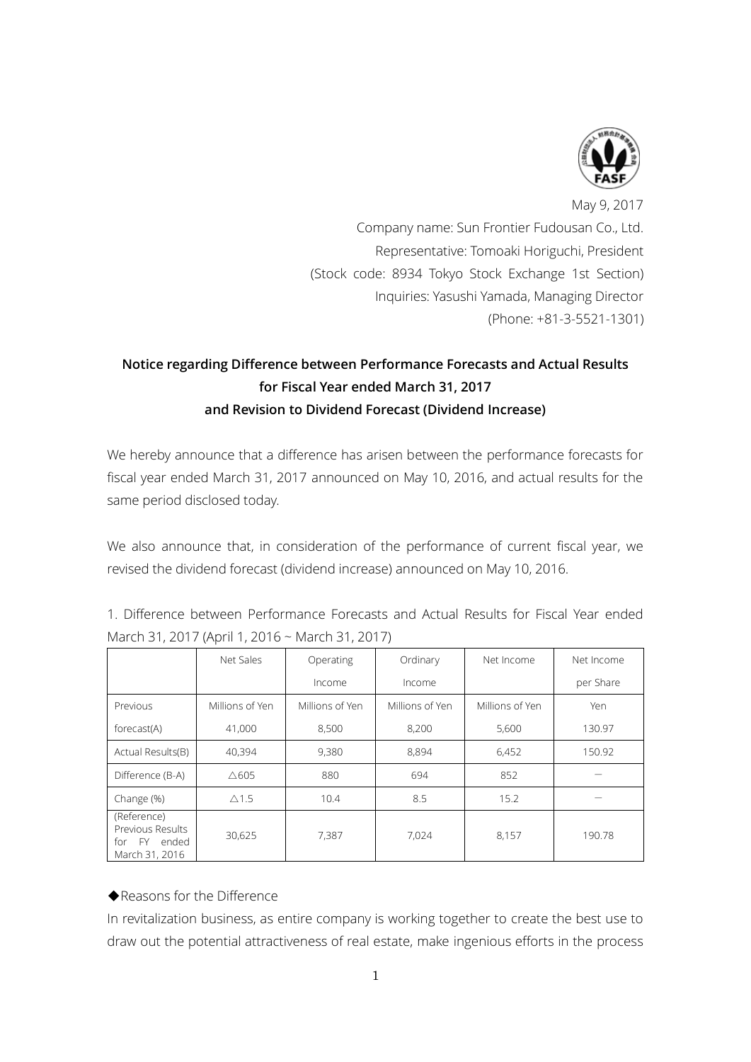

May 9, 2017 Company name: Sun Frontier Fudousan Co., Ltd. Representative: Tomoaki Horiguchi, President (Stock code: 8934 Tokyo Stock Exchange 1st Section) Inquiries: Yasushi Yamada, Managing Director (Phone: +81-3-5521-1301)

## **Notice regarding Difference between Performance Forecasts and Actual Results for Fiscal Year ended March 31, 2017 and Revision to Dividend Forecast (Dividend Increase)**

We hereby announce that a difference has arisen between the performance forecasts for fiscal year ended March 31, 2017 announced on May 10, 2016, and actual results for the same period disclosed today.

We also announce that, in consideration of the performance of current fiscal year, we revised the dividend forecast (dividend increase) announced on May 10, 2016.

|  | 1. Difference between Performance Forecasts and Actual Results for Fiscal Year ended |  |  |  |  |
|--|--------------------------------------------------------------------------------------|--|--|--|--|
|  | March 31, 2017 (April 1, 2016 ~ March 31, 2017)                                      |  |  |  |  |

|                                                                         | Net Sales       | Operating       | Ordinary        | Net Income      | Net Income |  |
|-------------------------------------------------------------------------|-----------------|-----------------|-----------------|-----------------|------------|--|
|                                                                         |                 | Income          | Income          |                 | per Share  |  |
| Previous                                                                | Millions of Yen | Millions of Yen | Millions of Yen | Millions of Yen | Yen        |  |
| forecast(A)                                                             | 41,000          | 8,500           | 8,200           | 5,600           | 130.97     |  |
| Actual Results(B)                                                       | 40.394          | 9.380           | 8.894           | 6,452           | 150.92     |  |
| Difference (B-A)                                                        | $\triangle$ 605 | 880             | 694             | 852             |            |  |
| Change (%)                                                              | $\triangle$ 1.5 | 10.4            | 8.5             | 15.2            |            |  |
| (Reference)<br>Previous Results<br>ended<br>FY<br>for<br>March 31, 2016 | 30,625          | 7.387           | 7.024           | 8,157           | 190.78     |  |

## ◆Reasons for the Difference

In revitalization business, as entire company is working together to create the best use to draw out the potential attractiveness of real estate, make ingenious efforts in the process